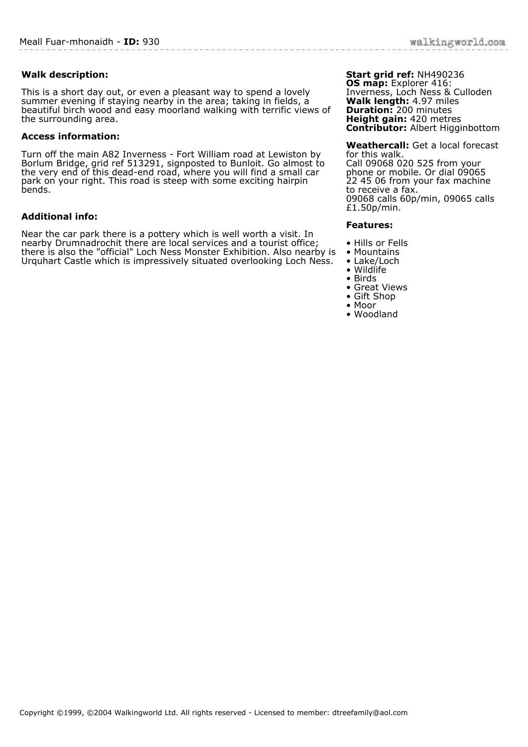# **Walk description:**

This is a short day out, or even a pleasant way to spend a lovely summer evening if staying nearby in the area; taking in fields, a beautiful birch wood and easy moorland walking with terrific views of the surrounding area.

### **Access information:**

Turn off the main A82 Inverness - Fort William road at Lewiston by Borlum Bridge, grid ref 513291, signposted to Bunloit. Go almost to the very end of this dead-end road, where you will find a small car park on your right. This road is steep with some exciting hairpin bends.

# **Additional info:**

Near the car park there is a pottery which is well worth a visit. In nearby Drumnadrochit there are local services and a tourist office; there is also the "official" Loch Ness Monster Exhibition. Also nearby is Urquhart Castle which is impressively situated overlooking Loch Ness.

#### **Start grid ref:** NH490236 **OS map:** Explorer 416: Inverness, Loch Ness & Culloden

**Walk length:** 4.97 miles **Duration:** 200 minutes **Height gain:** 420 metres **Contributor:** Albert Higginbottom

**Weathercall:** Get a local forecast for this walk. Call 09068 020 525 from your phone or mobile. Or dial 09065 22 45 06 from your fax machine to receive a fax. 09068 calls 60p/min, 09065 calls £1.50p/min.

#### **Features:**

- Hills or Fells
- Mountains
- Lake/Loch
- Wildlife
- Birds • Great Views
- Gift Shop
- Moor
- Woodland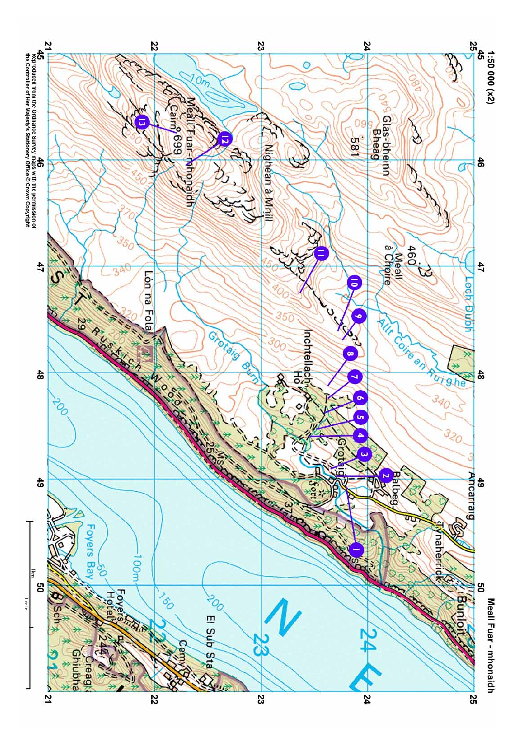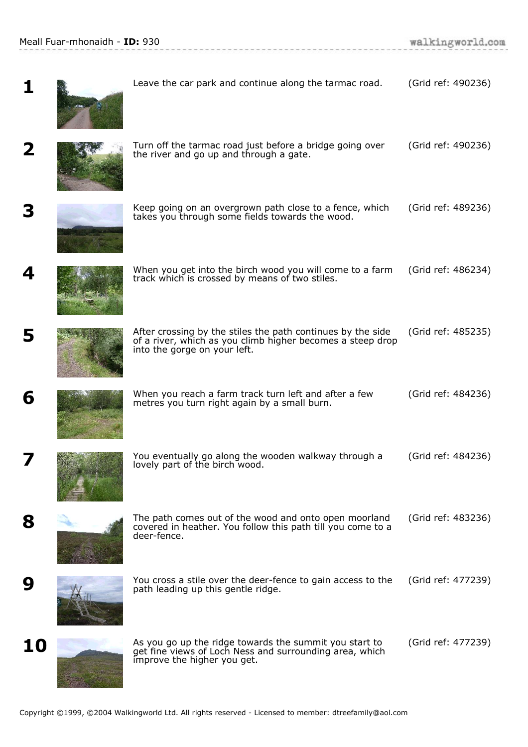**Contractor** 

|    | Leave the car park and continue along the tarmac road.                                                                                                    | (Grid ref: 490236) |
|----|-----------------------------------------------------------------------------------------------------------------------------------------------------------|--------------------|
| 2  | Turn off the tarmac road just before a bridge going over<br>the river and go up and through a gate.                                                       | (Grid ref: 490236) |
|    | Keep going on an overgrown path close to a fence, which<br>takes you through some fields towards the wood.                                                | (Grid ref: 489236) |
|    | When you get into the birch wood you will come to a farm<br>track which is crossed by means of two stiles.                                                | (Grid ref: 486234) |
|    | After crossing by the stiles the path continues by the side<br>of a river, which as you climb higher becomes a steep drop<br>into the gorge on your left. | (Grid ref: 485235) |
| 6  | When you reach a farm track turn left and after a few<br>metres you turn right again by a small burn.                                                     | (Grid ref: 484236) |
|    | You eventually go along the wooden walkway through a<br>lovely part of the birch wood.                                                                    | (Grid ref: 484236) |
| 8  | The path comes out of the wood and onto open moorland<br>covered in heather. You follow this path till you come to a<br>deer-fence.                       | (Grid ref: 483236) |
| 9  | You cross a stile over the deer-fence to gain access to the<br>path leading up this gentle ridge.                                                         | (Grid ref: 477239) |
| 10 | As you go up the ridge towards the summit you start to<br>get fine views of Loch Ness and surrounding area, which<br>improve the higher you get.          | (Grid ref: 477239) |

.<br>In the contract of the contract of the contract of the contract of the contract of the contract of the contract